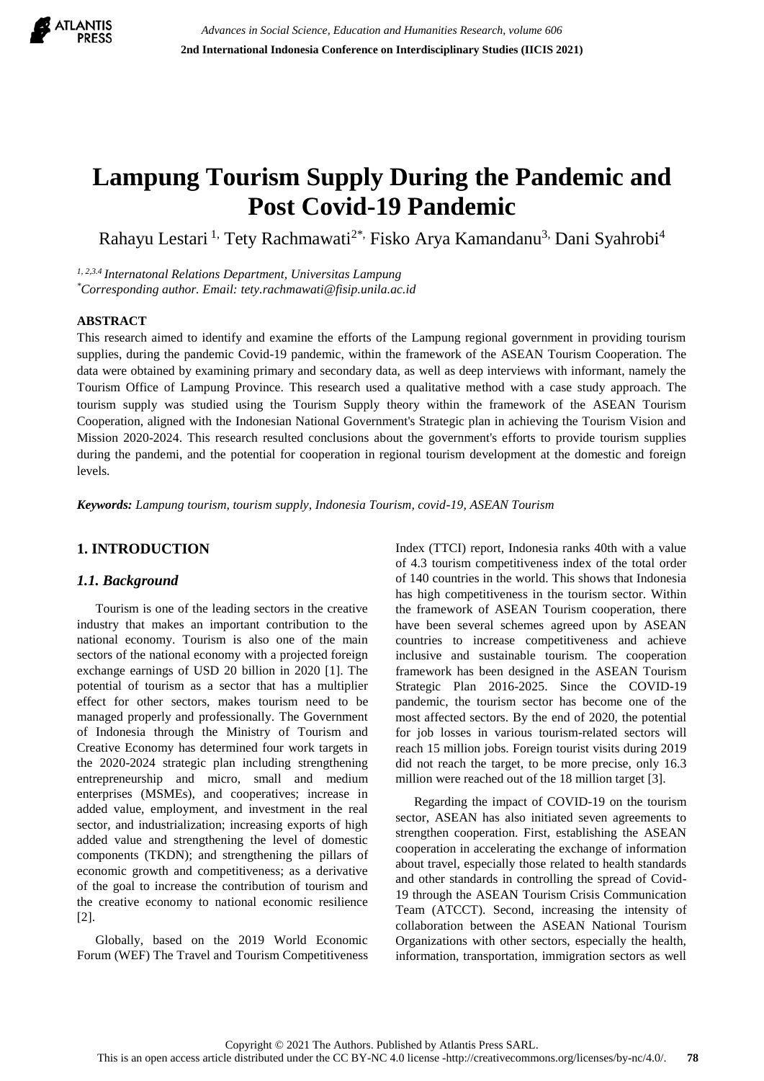

# **Lampung Tourism Supply During the Pandemic and Post Covid-19 Pandemic**

Rahayu Lestari<sup>1,</sup> Tety Rachmawati<sup>2\*,</sup> Fisko Arya Kamandanu<sup>3,</sup> Dani Syahrobi<sup>4</sup>

*1, 2,3.4 Internatonal Relations Department, Universitas Lampung \*Corresponding author. Email: tety.rachmawati@fisip.unila.ac.id*

#### **ABSTRACT**

This research aimed to identify and examine the efforts of the Lampung regional government in providing tourism supplies, during the pandemic Covid-19 pandemic, within the framework of the ASEAN Tourism Cooperation. The data were obtained by examining primary and secondary data, as well as deep interviews with informant, namely the Tourism Office of Lampung Province. This research used a qualitative method with a case study approach. The tourism supply was studied using the Tourism Supply theory within the framework of the ASEAN Tourism Cooperation, aligned with the Indonesian National Government's Strategic plan in achieving the Tourism Vision and Mission 2020-2024. This research resulted conclusions about the government's efforts to provide tourism supplies during the pandemi, and the potential for cooperation in regional tourism development at the domestic and foreign levels.

*Keywords: Lampung tourism, tourism supply, Indonesia Tourism, covid-19, ASEAN Tourism*

# **1. INTRODUCTION**

## *1.1. Background*

Tourism is one of the leading sectors in the creative industry that makes an important contribution to the national economy. Tourism is also one of the main sectors of the national economy with a projected foreign exchange earnings of USD 20 billion in 2020 [1]. The potential of tourism as a sector that has a multiplier effect for other sectors, makes tourism need to be managed properly and professionally. The Government of Indonesia through the Ministry of Tourism and Creative Economy has determined four work targets in the 2020-2024 strategic plan including strengthening entrepreneurship and micro, small and medium enterprises (MSMEs), and cooperatives; increase in added value, employment, and investment in the real sector, and industrialization; increasing exports of high added value and strengthening the level of domestic components (TKDN); and strengthening the pillars of economic growth and competitiveness; as a derivative of the goal to increase the contribution of tourism and the creative economy to national economic resilience [2].

Globally, based on the 2019 World Economic Forum (WEF) The Travel and Tourism Competitiveness Index (TTCI) report, Indonesia ranks 40th with a value of 4.3 tourism competitiveness index of the total order of 140 countries in the world. This shows that Indonesia has high competitiveness in the tourism sector. Within the framework of ASEAN Tourism cooperation, there have been several schemes agreed upon by ASEAN countries to increase competitiveness and achieve inclusive and sustainable tourism. The cooperation framework has been designed in the ASEAN Tourism Strategic Plan 2016-2025. Since the COVID-19 pandemic, the tourism sector has become one of the most affected sectors. By the end of 2020, the potential for job losses in various tourism-related sectors will reach 15 million jobs. Foreign tourist visits during 2019 did not reach the target, to be more precise, only 16.3 million were reached out of the 18 million target [3].

Regarding the impact of COVID-19 on the tourism sector, ASEAN has also initiated seven agreements to strengthen cooperation. First, establishing the ASEAN cooperation in accelerating the exchange of information about travel, especially those related to health standards and other standards in controlling the spread of Covid-19 through the ASEAN Tourism Crisis Communication Team (ATCCT). Second, increasing the intensity of collaboration between the ASEAN National Tourism Organizations with other sectors, especially the health, information, transportation, immigration sectors as well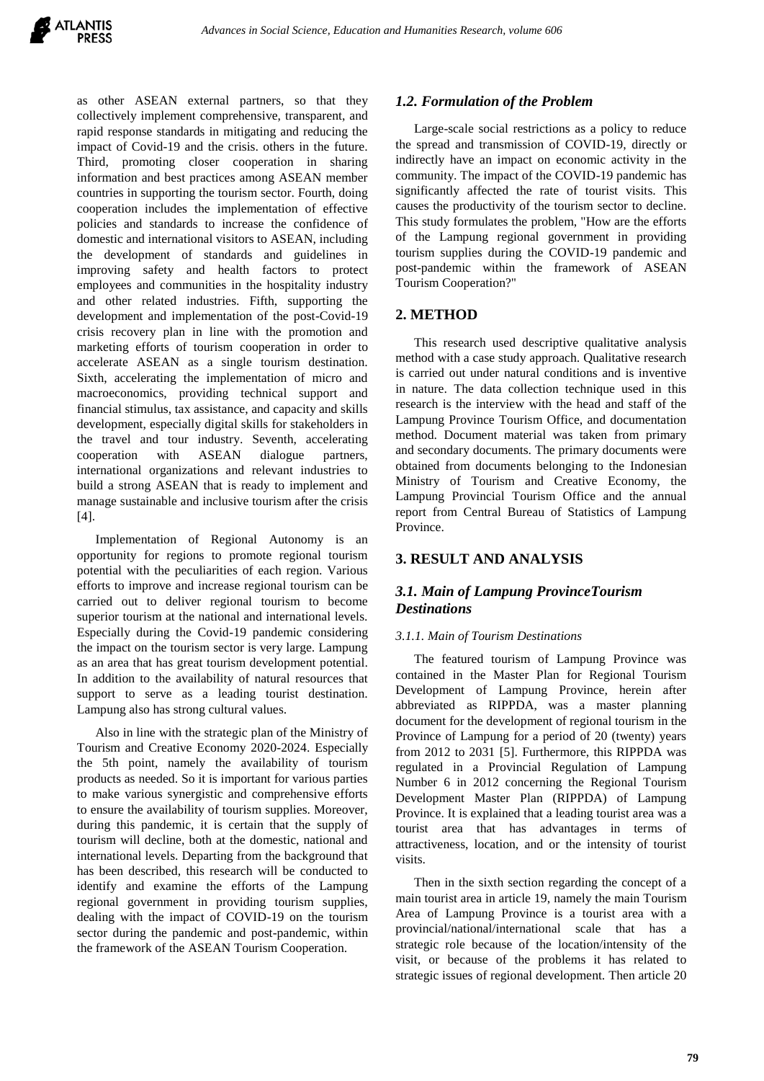as other ASEAN external partners, so that they collectively implement comprehensive, transparent, and rapid response standards in mitigating and reducing the impact of Covid-19 and the crisis. others in the future. Third, promoting closer cooperation in sharing information and best practices among ASEAN member countries in supporting the tourism sector. Fourth, doing cooperation includes the implementation of effective policies and standards to increase the confidence of domestic and international visitors to ASEAN, including the development of standards and guidelines in improving safety and health factors to protect employees and communities in the hospitality industry and other related industries. Fifth, supporting the development and implementation of the post-Covid-19 crisis recovery plan in line with the promotion and marketing efforts of tourism cooperation in order to accelerate ASEAN as a single tourism destination. Sixth, accelerating the implementation of micro and macroeconomics, providing technical support and financial stimulus, tax assistance, and capacity and skills development, especially digital skills for stakeholders in the travel and tour industry. Seventh, accelerating cooperation with ASEAN dialogue partners, international organizations and relevant industries to build a strong ASEAN that is ready to implement and manage sustainable and inclusive tourism after the crisis [4].

Implementation of Regional Autonomy is an opportunity for regions to promote regional tourism potential with the peculiarities of each region. Various efforts to improve and increase regional tourism can be carried out to deliver regional tourism to become superior tourism at the national and international levels. Especially during the Covid-19 pandemic considering the impact on the tourism sector is very large. Lampung as an area that has great tourism development potential. In addition to the availability of natural resources that support to serve as a leading tourist destination. Lampung also has strong cultural values.

Also in line with the strategic plan of the Ministry of Tourism and Creative Economy 2020-2024. Especially the 5th point, namely the availability of tourism products as needed. So it is important for various parties to make various synergistic and comprehensive efforts to ensure the availability of tourism supplies. Moreover, during this pandemic, it is certain that the supply of tourism will decline, both at the domestic, national and international levels. Departing from the background that has been described, this research will be conducted to identify and examine the efforts of the Lampung regional government in providing tourism supplies, dealing with the impact of COVID-19 on the tourism sector during the pandemic and post-pandemic, within the framework of the ASEAN Tourism Cooperation.

# *1.2. Formulation of the Problem*

Large-scale social restrictions as a policy to reduce the spread and transmission of COVID-19, directly or indirectly have an impact on economic activity in the community. The impact of the COVID-19 pandemic has significantly affected the rate of tourist visits. This causes the productivity of the tourism sector to decline. This study formulates the problem, "How are the efforts of the Lampung regional government in providing tourism supplies during the COVID-19 pandemic and post-pandemic within the framework of ASEAN Tourism Cooperation?"

# **2. METHOD**

This research used descriptive qualitative analysis method with a case study approach. Qualitative research is carried out under natural conditions and is inventive in nature. The data collection technique used in this research is the interview with the head and staff of the Lampung Province Tourism Office, and documentation method. Document material was taken from primary and secondary documents. The primary documents were obtained from documents belonging to the Indonesian Ministry of Tourism and Creative Economy, the Lampung Provincial Tourism Office and the annual report from Central Bureau of Statistics of Lampung Province.

# **3. RESULT AND ANALYSIS**

# *3.1. Main of Lampung ProvinceTourism Destinations*

#### *3.1.1. Main of Tourism Destinations*

The featured tourism of Lampung Province was contained in the Master Plan for Regional Tourism Development of Lampung Province, herein after abbreviated as RIPPDA, was a master planning document for the development of regional tourism in the Province of Lampung for a period of 20 (twenty) years from 2012 to 2031 [5]. Furthermore, this RIPPDA was regulated in a Provincial Regulation of Lampung Number 6 in 2012 concerning the Regional Tourism Development Master Plan (RIPPDA) of Lampung Province. It is explained that a leading tourist area was a tourist area that has advantages in terms of attractiveness, location, and or the intensity of tourist visits.

Then in the sixth section regarding the concept of a main tourist area in article 19, namely the main Tourism Area of Lampung Province is a tourist area with a provincial/national/international scale that has a strategic role because of the location/intensity of the visit, or because of the problems it has related to strategic issues of regional development. Then article 20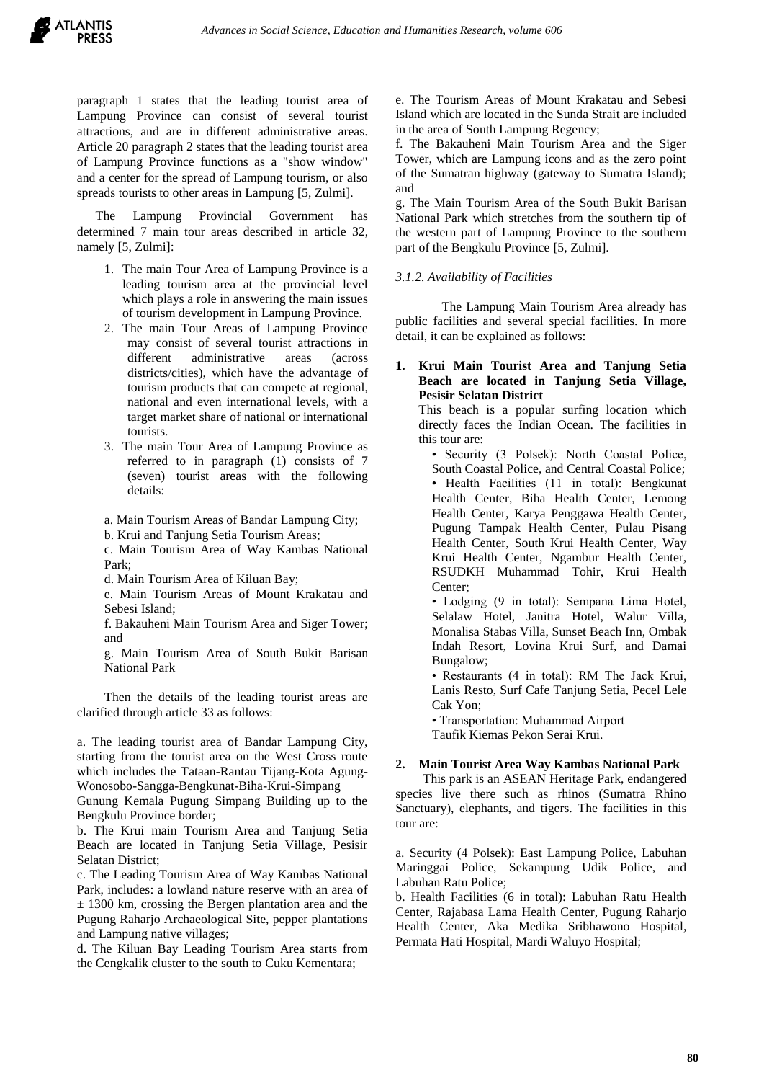paragraph 1 states that the leading tourist area of Lampung Province can consist of several tourist attractions, and are in different administrative areas. Article 20 paragraph 2 states that the leading tourist area of Lampung Province functions as a "show window" and a center for the spread of Lampung tourism, or also spreads tourists to other areas in Lampung [5, Zulmi].

Lampung Provincial Government has determined 7 main tour areas described in article 32, namely [5, Zulmi]:

- 1. The main Tour Area of Lampung Province is a leading tourism area at the provincial level which plays a role in answering the main issues of tourism development in Lampung Province.
- 2. The main Tour Areas of Lampung Province may consist of several tourist attractions in different administrative areas (across districts/cities), which have the advantage of tourism products that can compete at regional, national and even international levels, with a target market share of national or international tourists.
- 3. The main Tour Area of Lampung Province as referred to in paragraph (1) consists of 7 (seven) tourist areas with the following details:
- a. Main Tourism Areas of Bandar Lampung City;
- b. Krui and Tanjung Setia Tourism Areas;

c. Main Tourism Area of Way Kambas National Park;

d. Main Tourism Area of Kiluan Bay;

e. Main Tourism Areas of Mount Krakatau and Sebesi Island;

f. Bakauheni Main Tourism Area and Siger Tower; and

g. Main Tourism Area of South Bukit Barisan National Park

Then the details of the leading tourist areas are clarified through article 33 as follows:

a. The leading tourist area of Bandar Lampung City, starting from the tourist area on the West Cross route which includes the Tataan-Rantau Tijang-Kota Agung-Wonosobo-Sangga-Bengkunat-Biha-Krui-Simpang

Gunung Kemala Pugung Simpang Building up to the Bengkulu Province border;

b. The Krui main Tourism Area and Tanjung Setia Beach are located in Tanjung Setia Village, Pesisir Selatan District;

c. The Leading Tourism Area of Way Kambas National Park, includes: a lowland nature reserve with an area of  $\pm$  1300 km, crossing the Bergen plantation area and the Pugung Raharjo Archaeological Site, pepper plantations and Lampung native villages;

d. The Kiluan Bay Leading Tourism Area starts from the Cengkalik cluster to the south to Cuku Kementara;

e. The Tourism Areas of Mount Krakatau and Sebesi Island which are located in the Sunda Strait are included in the area of South Lampung Regency;

f. The Bakauheni Main Tourism Area and the Siger Tower, which are Lampung icons and as the zero point of the Sumatran highway (gateway to Sumatra Island); and

g. The Main Tourism Area of the South Bukit Barisan National Park which stretches from the southern tip of the western part of Lampung Province to the southern part of the Bengkulu Province [5, Zulmi].

#### *3.1.2. Availability of Facilities*

The Lampung Main Tourism Area already has public facilities and several special facilities. In more detail, it can be explained as follows:

#### **1. Krui Main Tourist Area and Tanjung Setia Beach are located in Tanjung Setia Village, Pesisir Selatan District**

This beach is a popular surfing location which directly faces the Indian Ocean. The facilities in this tour are:

• Security (3 Polsek): North Coastal Police, South Coastal Police, and Central Coastal Police; • Health Facilities (11 in total): Bengkunat Health Center, Biha Health Center, Lemong Health Center, Karya Penggawa Health Center, Pugung Tampak Health Center, Pulau Pisang Health Center, South Krui Health Center, Way Krui Health Center, Ngambur Health Center, RSUDKH Muhammad Tohir, Krui Health Center;

• Lodging (9 in total): Sempana Lima Hotel, Selalaw Hotel, Janitra Hotel, Walur Villa, Monalisa Stabas Villa, Sunset Beach Inn, Ombak Indah Resort, Lovina Krui Surf, and Damai Bungalow;

• Restaurants (4 in total): RM The Jack Krui, Lanis Resto, Surf Cafe Tanjung Setia, Pecel Lele Cak Yon;

• Transportation: Muhammad Airport Taufik Kiemas Pekon Serai Krui.

## **2. Main Tourist Area Way Kambas National Park**

This park is an ASEAN Heritage Park, endangered species live there such as rhinos (Sumatra Rhino Sanctuary), elephants, and tigers. The facilities in this tour are:

a. Security (4 Polsek): East Lampung Police, Labuhan Maringgai Police, Sekampung Udik Police, and Labuhan Ratu Police;

b. Health Facilities (6 in total): Labuhan Ratu Health Center, Rajabasa Lama Health Center, Pugung Raharjo Health Center, Aka Medika Sribhawono Hospital, Permata Hati Hospital, Mardi Waluyo Hospital;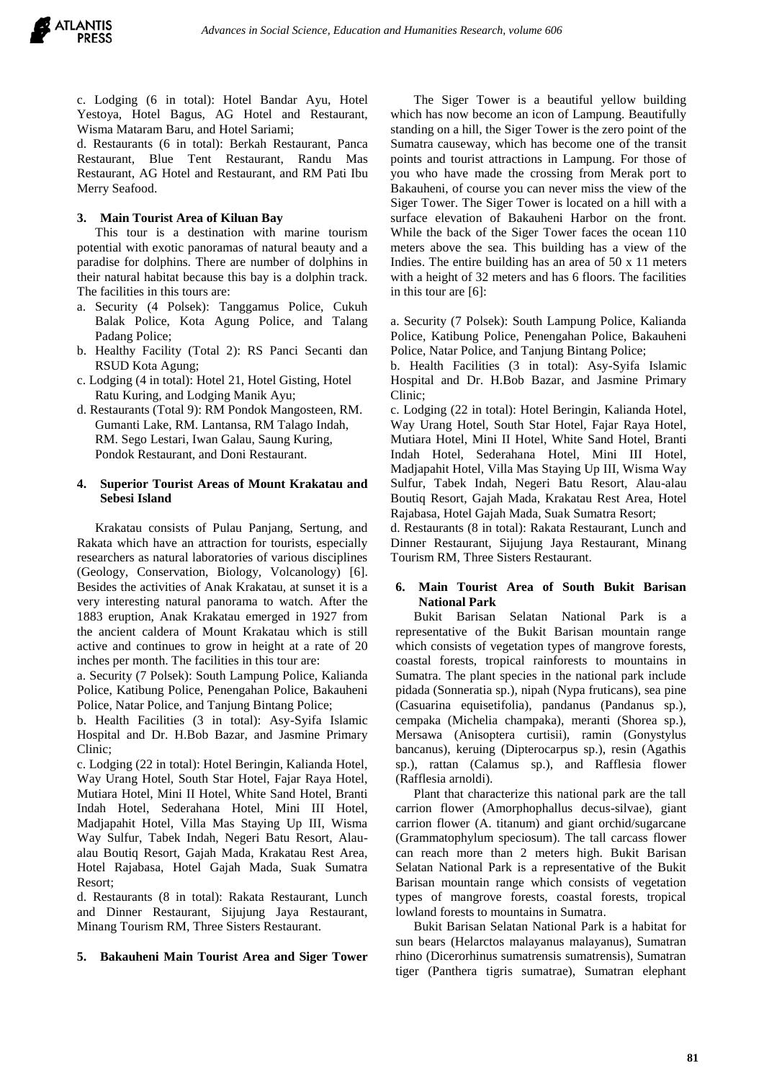

c. Lodging (6 in total): Hotel Bandar Ayu, Hotel Yestoya, Hotel Bagus, AG Hotel and Restaurant, Wisma Mataram Baru, and Hotel Sariami;

d. Restaurants (6 in total): Berkah Restaurant, Panca Restaurant, Blue Tent Restaurant, Randu Mas Restaurant, AG Hotel and Restaurant, and RM Pati Ibu Merry Seafood.

#### **3. Main Tourist Area of Kiluan Bay**

This tour is a destination with marine tourism potential with exotic panoramas of natural beauty and a paradise for dolphins. There are number of dolphins in their natural habitat because this bay is a dolphin track. The facilities in this tours are:

- a. Security (4 Polsek): Tanggamus Police, Cukuh Balak Police, Kota Agung Police, and Talang Padang Police;
- b. Healthy Facility (Total 2): RS Panci Secanti dan RSUD Kota Agung;
- c. Lodging (4 in total): Hotel 21, Hotel Gisting, Hotel Ratu Kuring, and Lodging Manik Ayu;
- d. Restaurants (Total 9): RM Pondok Mangosteen, RM. Gumanti Lake, RM. Lantansa, RM Talago Indah, RM. Sego Lestari, Iwan Galau, Saung Kuring, Pondok Restaurant, and Doni Restaurant.

#### **4. Superior Tourist Areas of Mount Krakatau and Sebesi Island**

Krakatau consists of Pulau Panjang, Sertung, and Rakata which have an attraction for tourists, especially researchers as natural laboratories of various disciplines (Geology, Conservation, Biology, Volcanology) [6]. Besides the activities of Anak Krakatau, at sunset it is a very interesting natural panorama to watch. After the 1883 eruption, Anak Krakatau emerged in 1927 from the ancient caldera of Mount Krakatau which is still active and continues to grow in height at a rate of 20 inches per month. The facilities in this tour are:

a. Security (7 Polsek): South Lampung Police, Kalianda Police, Katibung Police, Penengahan Police, Bakauheni Police, Natar Police, and Tanjung Bintang Police;

b. Health Facilities (3 in total): Asy-Syifa Islamic Hospital and Dr. H.Bob Bazar, and Jasmine Primary Clinic;

c. Lodging (22 in total): Hotel Beringin, Kalianda Hotel, Way Urang Hotel, South Star Hotel, Fajar Raya Hotel, Mutiara Hotel, Mini II Hotel, White Sand Hotel, Branti Indah Hotel, Sederahana Hotel, Mini III Hotel, Madjapahit Hotel, Villa Mas Staying Up III, Wisma Way Sulfur, Tabek Indah, Negeri Batu Resort, Alaualau Boutiq Resort, Gajah Mada, Krakatau Rest Area, Hotel Rajabasa, Hotel Gajah Mada, Suak Sumatra Resort;

d. Restaurants (8 in total): Rakata Restaurant, Lunch and Dinner Restaurant, Sijujung Jaya Restaurant, Minang Tourism RM, Three Sisters Restaurant.

#### **5. Bakauheni Main Tourist Area and Siger Tower**

The Siger Tower is a beautiful yellow building which has now become an icon of Lampung. Beautifully standing on a hill, the Siger Tower is the zero point of the Sumatra causeway, which has become one of the transit points and tourist attractions in Lampung. For those of you who have made the crossing from Merak port to Bakauheni, of course you can never miss the view of the Siger Tower. The Siger Tower is located on a hill with a surface elevation of Bakauheni Harbor on the front. While the back of the Siger Tower faces the ocean 110 meters above the sea. This building has a view of the Indies. The entire building has an area of 50 x 11 meters with a height of 32 meters and has 6 floors. The facilities in this tour are [6]:

a. Security (7 Polsek): South Lampung Police, Kalianda Police, Katibung Police, Penengahan Police, Bakauheni Police, Natar Police, and Tanjung Bintang Police;

b. Health Facilities (3 in total): Asy-Syifa Islamic Hospital and Dr. H.Bob Bazar, and Jasmine Primary Clinic;

c. Lodging (22 in total): Hotel Beringin, Kalianda Hotel, Way Urang Hotel, South Star Hotel, Fajar Raya Hotel, Mutiara Hotel, Mini II Hotel, White Sand Hotel, Branti Indah Hotel, Sederahana Hotel, Mini III Hotel, Madjapahit Hotel, Villa Mas Staying Up III, Wisma Way Sulfur, Tabek Indah, Negeri Batu Resort, Alau-alau Boutiq Resort, Gajah Mada, Krakatau Rest Area, Hotel Rajabasa, Hotel Gajah Mada, Suak Sumatra Resort;

d. Restaurants (8 in total): Rakata Restaurant, Lunch and Dinner Restaurant, Sijujung Jaya Restaurant, Minang Tourism RM, Three Sisters Restaurant.

## **6. Main Tourist Area of South Bukit Barisan National Park**

Bukit Barisan Selatan National Park is a representative of the Bukit Barisan mountain range which consists of vegetation types of mangrove forests, coastal forests, tropical rainforests to mountains in Sumatra. The plant species in the national park include pidada (Sonneratia sp.), nipah (Nypa fruticans), sea pine (Casuarina equisetifolia), pandanus (Pandanus sp.), cempaka (Michelia champaka), meranti (Shorea sp.), Mersawa (Anisoptera curtisii), ramin (Gonystylus bancanus), keruing (Dipterocarpus sp.), resin (Agathis sp.), rattan (Calamus sp.), and Rafflesia flower (Rafflesia arnoldi).

Plant that characterize this national park are the tall carrion flower (Amorphophallus decus-silvae), giant carrion flower (A. titanum) and giant orchid/sugarcane (Grammatophylum speciosum). The tall carcass flower can reach more than 2 meters high. Bukit Barisan Selatan National Park is a representative of the Bukit Barisan mountain range which consists of vegetation types of mangrove forests, coastal forests, tropical lowland forests to mountains in Sumatra.

Bukit Barisan Selatan National Park is a habitat for sun bears (Helarctos malayanus malayanus), Sumatran rhino (Dicerorhinus sumatrensis sumatrensis), Sumatran tiger (Panthera tigris sumatrae), Sumatran elephant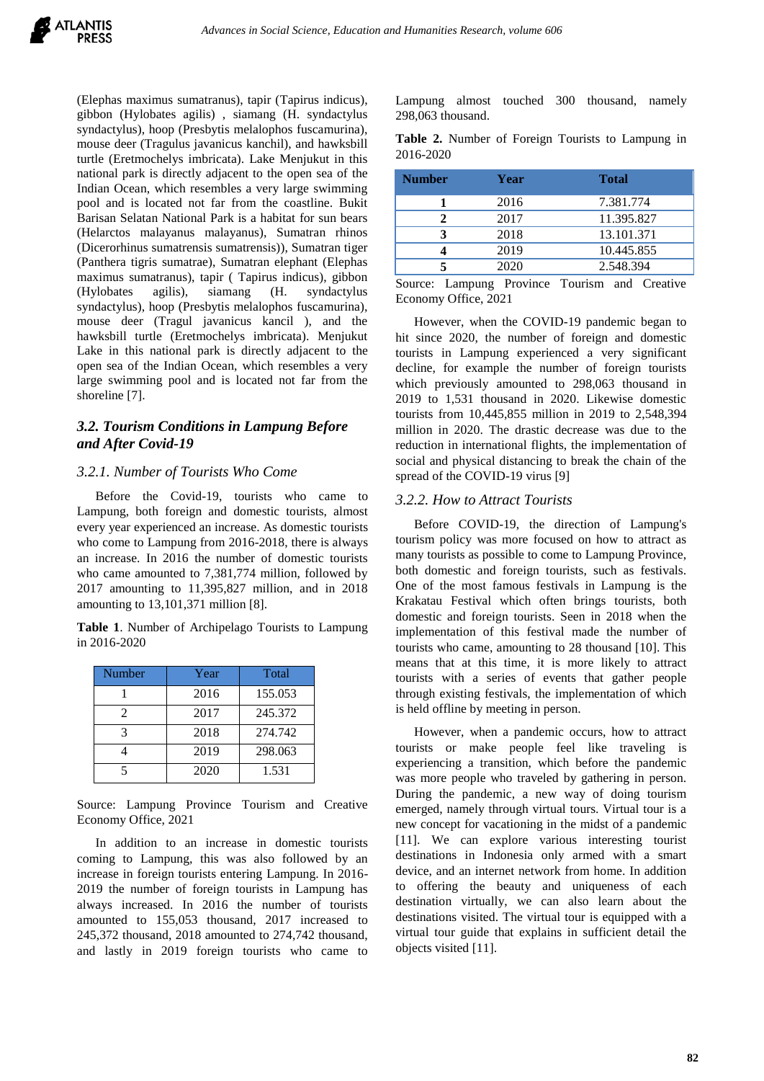(Elephas maximus sumatranus), tapir (Tapirus indicus), gibbon (Hylobates agilis) , siamang (H. syndactylus syndactylus), hoop (Presbytis melalophos fuscamurina), mouse deer (Tragulus javanicus kanchil), and hawksbill turtle (Eretmochelys imbricata). Lake Menjukut in this national park is directly adjacent to the open sea of the Indian Ocean, which resembles a very large swimming pool and is located not far from the coastline. Bukit Barisan Selatan National Park is a habitat for sun bears (Helarctos malayanus malayanus), Sumatran rhinos (Dicerorhinus sumatrensis sumatrensis)), Sumatran tiger (Panthera tigris sumatrae), Sumatran elephant (Elephas maximus sumatranus), tapir ( Tapirus indicus), gibbon (Hylobates agilis), siamang (H. syndactylus syndactylus), hoop (Presbytis melalophos fuscamurina), mouse deer (Tragul javanicus kancil ), and the hawksbill turtle (Eretmochelys imbricata). Menjukut Lake in this national park is directly adjacent to the open sea of the Indian Ocean, which resembles a very large swimming pool and is located not far from the shoreline [7].

# *3.2. Tourism Conditions in Lampung Before and After Covid-19*

# *3.2.1. Number of Tourists Who Come*

Before the Covid-19, tourists who came to Lampung, both foreign and domestic tourists, almost every year experienced an increase. As domestic tourists who come to Lampung from 2016-2018, there is always an increase. In 2016 the number of domestic tourists who came amounted to 7,381,774 million, followed by 2017 amounting to 11,395,827 million, and in 2018 amounting to 13,101,371 million [8].

**Table 1**. Number of Archipelago Tourists to Lampung in 2016-2020

| Number                | Year | Total   |
|-----------------------|------|---------|
|                       | 2016 | 155.053 |
| $\mathcal{D}_{\cdot}$ | 2017 | 245.372 |
| 3                     | 2018 | 274.742 |
|                       | 2019 | 298.063 |
| 5                     | 2020 | 1.531   |

Source: Lampung Province Tourism and Creative Economy Office, 2021

In addition to an increase in domestic tourists coming to Lampung, this was also followed by an increase in foreign tourists entering Lampung. In 2016- 2019 the number of foreign tourists in Lampung has always increased. In 2016 the number of tourists amounted to 155,053 thousand, 2017 increased to 245,372 thousand, 2018 amounted to 274,742 thousand, and lastly in 2019 foreign tourists who came to Lampung almost touched 300 thousand, namely 298,063 thousand.

|           |  |  | Table 2. Number of Foreign Tourists to Lampung in |  |
|-----------|--|--|---------------------------------------------------|--|
| 2016-2020 |  |  |                                                   |  |

| <b>Number</b> | Year | <b>Total</b> |
|---------------|------|--------------|
|               | 2016 | 7.381.774    |
|               | 2017 | 11.395.827   |
|               | 2018 | 13.101.371   |
|               | 2019 | 10.445.855   |
|               | 2020 | 2.548.394    |

Source: Lampung Province Tourism and Creative Economy Office, 2021

However, when the COVID-19 pandemic began to hit since 2020, the number of foreign and domestic tourists in Lampung experienced a very significant decline, for example the number of foreign tourists which previously amounted to 298,063 thousand in 2019 to 1,531 thousand in 2020. Likewise domestic tourists from 10,445,855 million in 2019 to 2,548,394 million in 2020. The drastic decrease was due to the reduction in international flights, the implementation of social and physical distancing to break the chain of the spread of the COVID-19 virus [9]

#### *3.2.2. How to Attract Tourists*

Before COVID-19, the direction of Lampung's tourism policy was more focused on how to attract as many tourists as possible to come to Lampung Province, both domestic and foreign tourists, such as festivals. One of the most famous festivals in Lampung is the Krakatau Festival which often brings tourists, both domestic and foreign tourists. Seen in 2018 when the implementation of this festival made the number of tourists who came, amounting to 28 thousand [10]. This means that at this time, it is more likely to attract tourists with a series of events that gather people through existing festivals, the implementation of which is held offline by meeting in person.

However, when a pandemic occurs, how to attract tourists or make people feel like traveling is experiencing a transition, which before the pandemic was more people who traveled by gathering in person. During the pandemic, a new way of doing tourism emerged, namely through virtual tours. Virtual tour is a new concept for vacationing in the midst of a pandemic [11]. We can explore various interesting tourist destinations in Indonesia only armed with a smart device, and an internet network from home. In addition to offering the beauty and uniqueness of each destination virtually, we can also learn about the destinations visited. The virtual tour is equipped with a virtual tour guide that explains in sufficient detail the objects visited [11].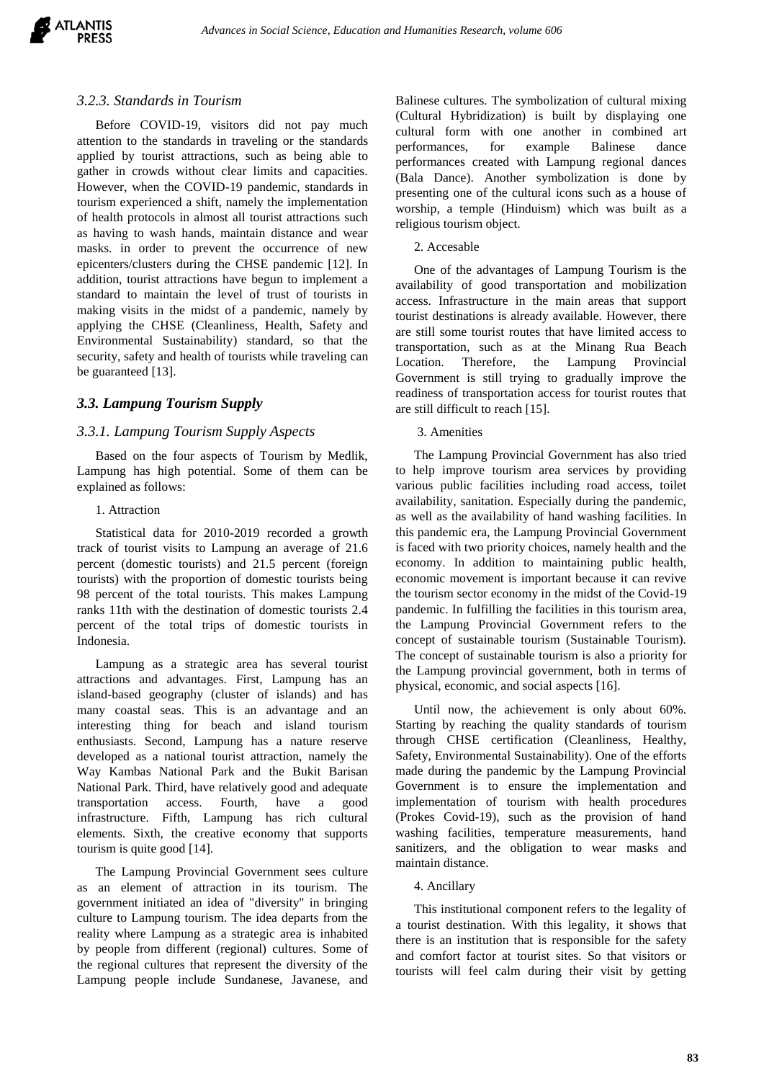

#### *3.2.3. Standards in Tourism*

Before COVID-19, visitors did not pay much attention to the standards in traveling or the standards applied by tourist attractions, such as being able to gather in crowds without clear limits and capacities. However, when the COVID-19 pandemic, standards in tourism experienced a shift, namely the implementation of health protocols in almost all tourist attractions such as having to wash hands, maintain distance and wear masks. in order to prevent the occurrence of new epicenters/clusters during the CHSE pandemic [12]. In addition, tourist attractions have begun to implement a standard to maintain the level of trust of tourists in making visits in the midst of a pandemic, namely by applying the CHSE (Cleanliness, Health, Safety and Environmental Sustainability) standard, so that the security, safety and health of tourists while traveling can be guaranteed [13].

## *3.3. Lampung Tourism Supply*

## *3.3.1. Lampung Tourism Supply Aspects*

Based on the four aspects of Tourism by Medlik, Lampung has high potential. Some of them can be explained as follows:

#### 1. Attraction

Statistical data for 2010-2019 recorded a growth track of tourist visits to Lampung an average of 21.6 percent (domestic tourists) and 21.5 percent (foreign tourists) with the proportion of domestic tourists being 98 percent of the total tourists. This makes Lampung ranks 11th with the destination of domestic tourists 2.4 percent of the total trips of domestic tourists in Indonesia.

Lampung as a strategic area has several tourist attractions and advantages. First, Lampung has an island-based geography (cluster of islands) and has many coastal seas. This is an advantage and an interesting thing for beach and island tourism enthusiasts. Second, Lampung has a nature reserve developed as a national tourist attraction, namely the Way Kambas National Park and the Bukit Barisan National Park. Third, have relatively good and adequate transportation access. Fourth, have a good infrastructure. Fifth, Lampung has rich cultural elements. Sixth, the creative economy that supports tourism is quite good [14].

The Lampung Provincial Government sees culture as an element of attraction in its tourism. The government initiated an idea of "diversity" in bringing culture to Lampung tourism. The idea departs from the reality where Lampung as a strategic area is inhabited by people from different (regional) cultures. Some of the regional cultures that represent the diversity of the Lampung people include Sundanese, Javanese, and Balinese cultures. The symbolization of cultural mixing (Cultural Hybridization) is built by displaying one cultural form with one another in combined art performances, for example Balinese dance performances created with Lampung regional dances (Bala Dance). Another symbolization is done by presenting one of the cultural icons such as a house of worship, a temple (Hinduism) which was built as a religious tourism object.

#### 2. Accesable

One of the advantages of Lampung Tourism is the availability of good transportation and mobilization access. Infrastructure in the main areas that support tourist destinations is already available. However, there are still some tourist routes that have limited access to transportation, such as at the Minang Rua Beach Location. Therefore, the Lampung Provincial Government is still trying to gradually improve the readiness of transportation access for tourist routes that are still difficult to reach [15].

#### 3. Amenities

The Lampung Provincial Government has also tried to help improve tourism area services by providing various public facilities including road access, toilet availability, sanitation. Especially during the pandemic, as well as the availability of hand washing facilities. In this pandemic era, the Lampung Provincial Government is faced with two priority choices, namely health and the economy. In addition to maintaining public health, economic movement is important because it can revive the tourism sector economy in the midst of the Covid-19 pandemic. In fulfilling the facilities in this tourism area, the Lampung Provincial Government refers to the concept of sustainable tourism (Sustainable Tourism). The concept of sustainable tourism is also a priority for the Lampung provincial government, both in terms of physical, economic, and social aspects [16].

Until now, the achievement is only about 60%. Starting by reaching the quality standards of tourism through CHSE certification (Cleanliness, Healthy, Safety, Environmental Sustainability). One of the efforts made during the pandemic by the Lampung Provincial Government is to ensure the implementation and implementation of tourism with health procedures (Prokes Covid-19), such as the provision of hand washing facilities, temperature measurements, hand sanitizers, and the obligation to wear masks and maintain distance.

#### 4. Ancillary

This institutional component refers to the legality of a tourist destination. With this legality, it shows that there is an institution that is responsible for the safety and comfort factor at tourist sites. So that visitors or tourists will feel calm during their visit by getting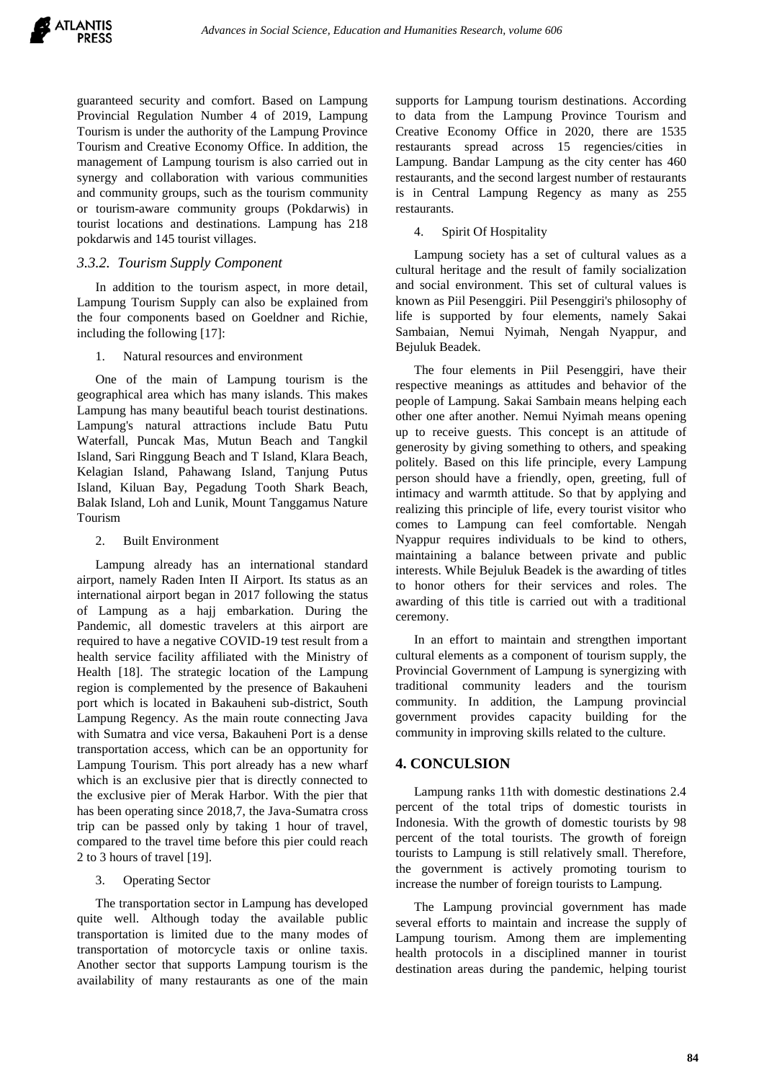guaranteed security and comfort. Based on Lampung Provincial Regulation Number 4 of 2019, Lampung Tourism is under the authority of the Lampung Province Tourism and Creative Economy Office. In addition, the management of Lampung tourism is also carried out in synergy and collaboration with various communities and community groups, such as the tourism community or tourism-aware community groups (Pokdarwis) in tourist locations and destinations. Lampung has 218 pokdarwis and 145 tourist villages.

## *3.3.2. Tourism Supply Component*

In addition to the tourism aspect, in more detail, Lampung Tourism Supply can also be explained from the four components based on Goeldner and Richie, including the following [17]:

#### 1. Natural resources and environment

One of the main of Lampung tourism is the geographical area which has many islands. This makes Lampung has many beautiful beach tourist destinations. Lampung's natural attractions include Batu Putu Waterfall, Puncak Mas, Mutun Beach and Tangkil Island, Sari Ringgung Beach and T Island, Klara Beach, Kelagian Island, Pahawang Island, Tanjung Putus Island, Kiluan Bay, Pegadung Tooth Shark Beach, Balak Island, Loh and Lunik, Mount Tanggamus Nature Tourism

#### 2. Built Environment

Lampung already has an international standard airport, namely Raden Inten II Airport. Its status as an international airport began in 2017 following the status of Lampung as a hajj embarkation. During the Pandemic, all domestic travelers at this airport are required to have a negative COVID-19 test result from a health service facility affiliated with the Ministry of Health [18]. The strategic location of the Lampung region is complemented by the presence of Bakauheni port which is located in Bakauheni sub-district, South Lampung Regency. As the main route connecting Java with Sumatra and vice versa, Bakauheni Port is a dense transportation access, which can be an opportunity for Lampung Tourism. This port already has a new wharf which is an exclusive pier that is directly connected to the exclusive pier of Merak Harbor. With the pier that has been operating since 2018,7, the Java-Sumatra cross trip can be passed only by taking 1 hour of travel, compared to the travel time before this pier could reach 2 to 3 hours of travel [19].

## 3. Operating Sector

The transportation sector in Lampung has developed quite well. Although today the available public transportation is limited due to the many modes of transportation of motorcycle taxis or online taxis. Another sector that supports Lampung tourism is the availability of many restaurants as one of the main supports for Lampung tourism destinations. According to data from the Lampung Province Tourism and Creative Economy Office in 2020, there are 1535 restaurants spread across 15 regencies/cities in Lampung. Bandar Lampung as the city center has 460 restaurants, and the second largest number of restaurants is in Central Lampung Regency as many as 255 restaurants.

# 4. Spirit Of Hospitality

Lampung society has a set of cultural values as a cultural heritage and the result of family socialization and social environment. This set of cultural values is known as Piil Pesenggiri. Piil Pesenggiri's philosophy of life is supported by four elements, namely Sakai Sambaian, Nemui Nyimah, Nengah Nyappur, and Bejuluk Beadek.

The four elements in Piil Pesenggiri, have their respective meanings as attitudes and behavior of the people of Lampung. Sakai Sambain means helping each other one after another. Nemui Nyimah means opening up to receive guests. This concept is an attitude of generosity by giving something to others, and speaking politely. Based on this life principle, every Lampung person should have a friendly, open, greeting, full of intimacy and warmth attitude. So that by applying and realizing this principle of life, every tourist visitor who comes to Lampung can feel comfortable. Nengah Nyappur requires individuals to be kind to others, maintaining a balance between private and public interests. While Bejuluk Beadek is the awarding of titles to honor others for their services and roles. The awarding of this title is carried out with a traditional ceremony.

In an effort to maintain and strengthen important cultural elements as a component of tourism supply, the Provincial Government of Lampung is synergizing with traditional community leaders and the tourism community. In addition, the Lampung provincial government provides capacity building for the community in improving skills related to the culture.

# **4. CONCULSION**

Lampung ranks 11th with domestic destinations 2.4 percent of the total trips of domestic tourists in Indonesia. With the growth of domestic tourists by 98 percent of the total tourists. The growth of foreign tourists to Lampung is still relatively small. Therefore, the government is actively promoting tourism to increase the number of foreign tourists to Lampung.

The Lampung provincial government has made several efforts to maintain and increase the supply of Lampung tourism. Among them are implementing health protocols in a disciplined manner in tourist destination areas during the pandemic, helping tourist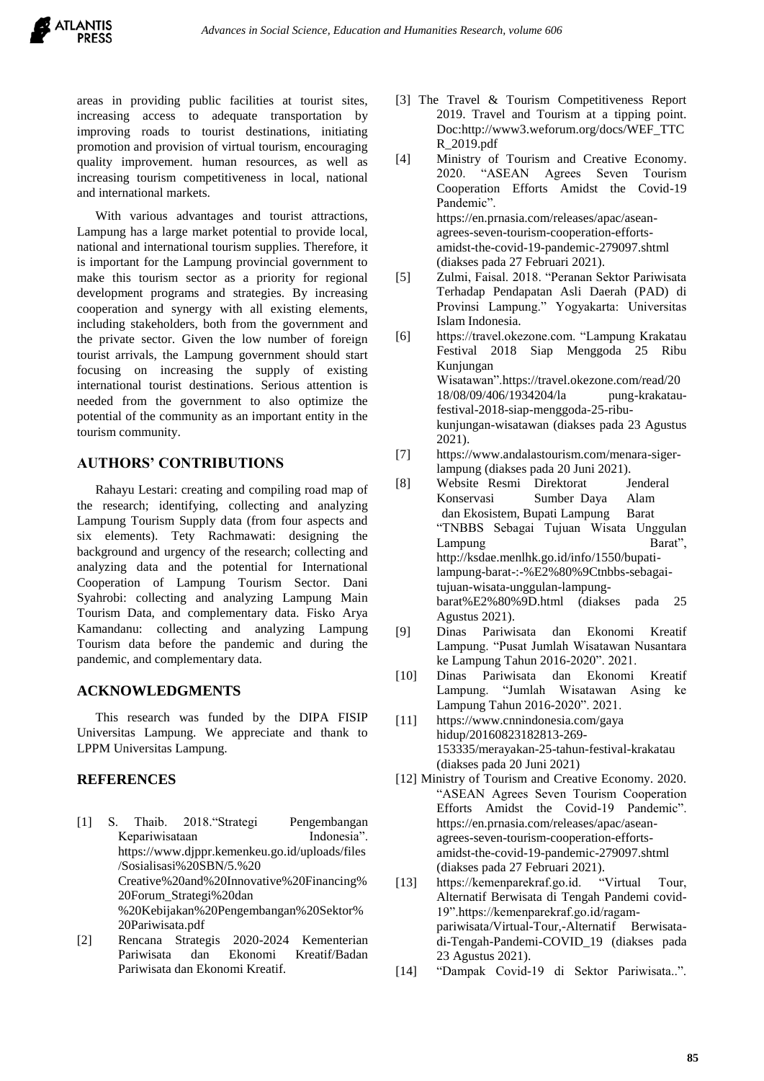areas in providing public facilities at tourist sites, increasing access to adequate transportation by improving roads to tourist destinations, initiating promotion and provision of virtual tourism, encouraging quality improvement. human resources, as well as increasing tourism competitiveness in local, national and international markets.

With various advantages and tourist attractions, Lampung has a large market potential to provide local, national and international tourism supplies. Therefore, it is important for the Lampung provincial government to make this tourism sector as a priority for regional development programs and strategies. By increasing cooperation and synergy with all existing elements, including stakeholders, both from the government and the private sector. Given the low number of foreign tourist arrivals, the Lampung government should start focusing on increasing the supply of existing international tourist destinations. Serious attention is needed from the government to also optimize the potential of the community as an important entity in the tourism community.

# **AUTHORS' CONTRIBUTIONS**

Rahayu Lestari: creating and compiling road map of the research; identifying, collecting and analyzing Lampung Tourism Supply data (from four aspects and six elements). Tety Rachmawati: designing the background and urgency of the research; collecting and analyzing data and the potential for International Cooperation of Lampung Tourism Sector. Dani Syahrobi: collecting and analyzing Lampung Main Tourism Data, and complementary data. Fisko Arya Kamandanu: collecting and analyzing Lampung Tourism data before the pandemic and during the pandemic, and complementary data.

## **ACKNOWLEDGMENTS**

This research was funded by the DIPA FISIP Universitas Lampung. We appreciate and thank to LPPM Universitas Lampung.

## **REFERENCES**

- [1] S. Thaib. 2018."Strategi Pengembangan Kepariwisataan Indonesia". https://www.djppr.kemenkeu.go.id/uploads/files /Sosialisasi%20SBN/5.%20 Creative%20and%20Innovative%20Financing% 20Forum\_Strategi%20dan %20Kebijakan%20Pengembangan%20Sektor% 20Pariwisata.pdf
- [2] Rencana Strategis 2020-2024 Kementerian Pariwisata dan Ekonomi Kreatif/Badan Pariwisata dan Ekonomi Kreatif.
- [3] The Travel & Tourism Competitiveness Report 2019. Travel and Tourism at a tipping point. Doc:http://www3.weforum.org/docs/WEF\_TTC R\_2019.pdf
- [4] Ministry of Tourism and Creative Economy. 2020. "ASEAN Agrees Seven Tourism Cooperation Efforts Amidst the Covid-19 Pandemic". https://en.prnasia.com/releases/apac/aseanagrees-seven-tourism-cooperation-effortsamidst-the-covid-19-pandemic-279097.shtml (diakses pada 27 Februari 2021).
- [5] Zulmi, Faisal. 2018. "Peranan Sektor Pariwisata Terhadap Pendapatan Asli Daerah (PAD) di Provinsi Lampung." Yogyakarta: Universitas Islam Indonesia.
- [6] https://travel.okezone.com. "Lampung Krakatau Festival 2018 Siap Menggoda 25 Ribu Kunjungan Wisatawan".https://travel.okezone.com/read/20 18/08/09/406/1934204/la pung-krakataufestival-2018-siap-menggoda-25-ribukunjungan-wisatawan (diakses pada 23 Agustus 2021).
- [7] https://www.andalastourism.com/menara-sigerlampung (diakses pada 20 Juni 2021).
- [8] Website Resmi Direktorat Jenderal Konservasi Sumber Daya Alam dan Ekosistem, Bupati Lampung Barat "TNBBS Sebagai Tujuan Wisata Unggulan Lampung Barat", http://ksdae.menlhk.go.id/info/1550/bupatilampung-barat-:-%E2%80%9Ctnbbs-sebagaitujuan-wisata-unggulan-lampungbarat%E2%80%9D.html (diakses pada 25 Agustus 2021).
- [9] Dinas Pariwisata dan Ekonomi Kreatif Lampung. "Pusat Jumlah Wisatawan Nusantara ke Lampung Tahun 2016-2020". 2021.
- [10] Dinas Pariwisata dan Ekonomi Kreatif Lampung. "Jumlah Wisatawan Asing ke Lampung Tahun 2016-2020". 2021.
- [11] https://www.cnnindonesia.com/gaya hidup/20160823182813-269- 153335/merayakan-25-tahun-festival-krakatau (diakses pada 20 Juni 2021)
- [12] Ministry of Tourism and Creative Economy. 2020. "ASEAN Agrees Seven Tourism Cooperation Efforts Amidst the Covid-19 Pandemic". https://en.prnasia.com/releases/apac/aseanagrees-seven-tourism-cooperation-effortsamidst-the-covid-19-pandemic-279097.shtml (diakses pada 27 Februari 2021).
- [13] https://kemenparekraf.go.id. "Virtual Tour, Alternatif Berwisata di Tengah Pandemi covid-19".https://kemenparekraf.go.id/ragampariwisata/Virtual-Tour,-Alternatif Berwisatadi-Tengah-Pandemi-COVID\_19 (diakses pada 23 Agustus 2021).
- [14] "Dampak Covid-19 di Sektor Pariwisata..".